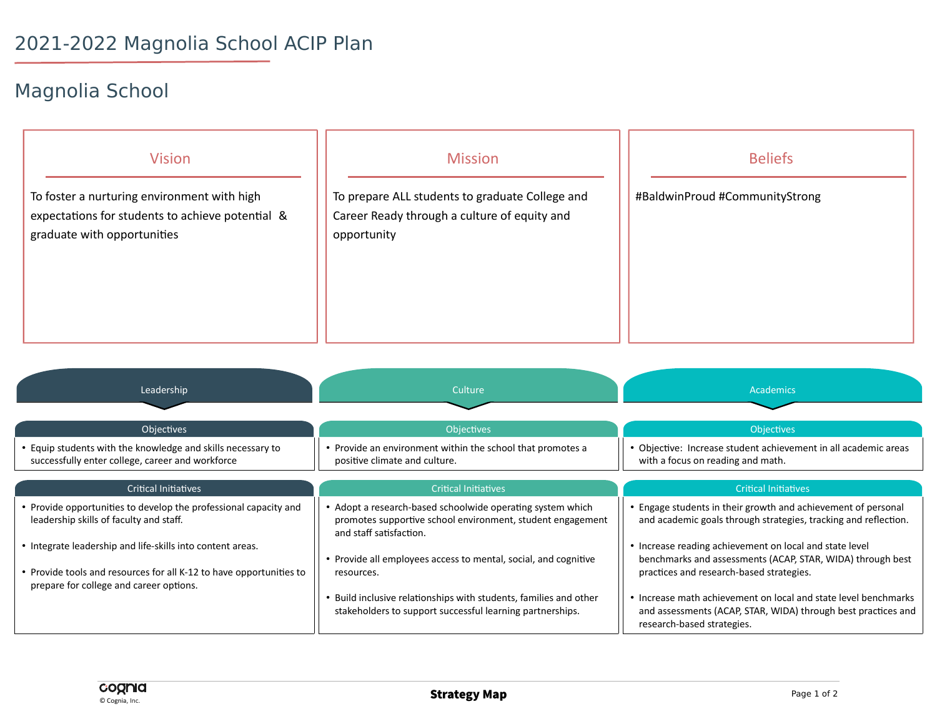## Magnolia School

| <b>Vision</b><br>To foster a nurturing environment with high<br>expectations for students to achieve potential &<br>graduate with opportunities | <b>Mission</b><br>To prepare ALL students to graduate College and<br>Career Ready through a culture of equity and<br>opportunity | <b>Beliefs</b><br>#BaldwinProud #CommunityStrong |
|-------------------------------------------------------------------------------------------------------------------------------------------------|----------------------------------------------------------------------------------------------------------------------------------|--------------------------------------------------|
|                                                                                                                                                 |                                                                                                                                  |                                                  |

| Leadership                                                                                                                                                                | <b>Culture</b>                                                                                                                                                                                                         | <b>Academics</b>                                                                                                                                                                                                                                          |
|---------------------------------------------------------------------------------------------------------------------------------------------------------------------------|------------------------------------------------------------------------------------------------------------------------------------------------------------------------------------------------------------------------|-----------------------------------------------------------------------------------------------------------------------------------------------------------------------------------------------------------------------------------------------------------|
| Objectives                                                                                                                                                                | <b>Objectives</b>                                                                                                                                                                                                      | <b>Objectives</b>                                                                                                                                                                                                                                         |
| Equip students with the knowledge and skills necessary to<br>successfully enter college, career and workforce                                                             | • Provide an environment within the school that promotes a<br>positive climate and culture.                                                                                                                            | • Objective: Increase student achievement in all academic areas<br>with a focus on reading and math.                                                                                                                                                      |
| <b>Critical Initiatives</b>                                                                                                                                               | <b>Critical Initiatives</b>                                                                                                                                                                                            | <b>Critical Initiatives</b>                                                                                                                                                                                                                               |
| • Provide opportunities to develop the professional capacity and<br>leadership skills of faculty and staff.<br>• Integrate leadership and life-skills into content areas. | • Adopt a research-based schoolwide operating system which<br>promotes supportive school environment, student engagement<br>and staff satisfaction.<br>• Provide all employees access to mental, social, and cognitive | • Engage students in their growth and achievement of personal<br>and academic goals through strategies, tracking and reflection.<br>• Increase reading achievement on local and state level<br>benchmarks and assessments (ACAP, STAR, WIDA) through best |
| • Provide tools and resources for all K-12 to have opportunities to<br>prepare for college and career options.                                                            | resources.<br>• Build inclusive relationships with students, families and other<br>stakeholders to support successful learning partnerships.                                                                           | practices and research-based strategies.<br>• Increase math achievement on local and state level benchmarks<br>and assessments (ACAP, STAR, WIDA) through best practices and<br>research-based strategies.                                                |